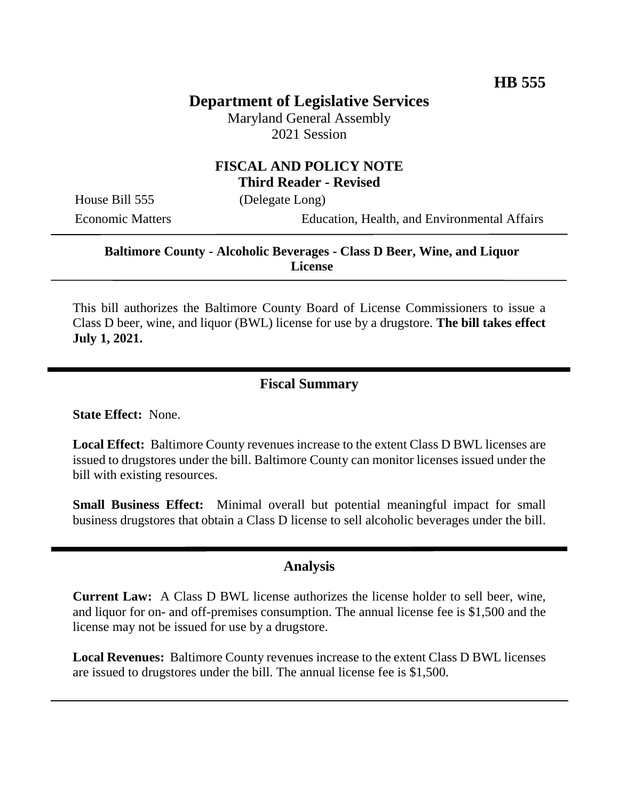# **Department of Legislative Services**

Maryland General Assembly 2021 Session

### **FISCAL AND POLICY NOTE Third Reader - Revised**

House Bill 555 (Delegate Long)

Economic Matters Education, Health, and Environmental Affairs

### **Baltimore County - Alcoholic Beverages - Class D Beer, Wine, and Liquor License**

This bill authorizes the Baltimore County Board of License Commissioners to issue a Class D beer, wine, and liquor (BWL) license for use by a drugstore. **The bill takes effect July 1, 2021.**

#### **Fiscal Summary**

**State Effect:** None.

**Local Effect:** Baltimore County revenues increase to the extent Class D BWL licenses are issued to drugstores under the bill. Baltimore County can monitor licenses issued under the bill with existing resources.

**Small Business Effect:** Minimal overall but potential meaningful impact for small business drugstores that obtain a Class D license to sell alcoholic beverages under the bill.

#### **Analysis**

**Current Law:** A Class D BWL license authorizes the license holder to sell beer, wine, and liquor for on- and off-premises consumption. The annual license fee is \$1,500 and the license may not be issued for use by a drugstore.

**Local Revenues:** Baltimore County revenues increase to the extent Class D BWL licenses are issued to drugstores under the bill. The annual license fee is \$1,500.